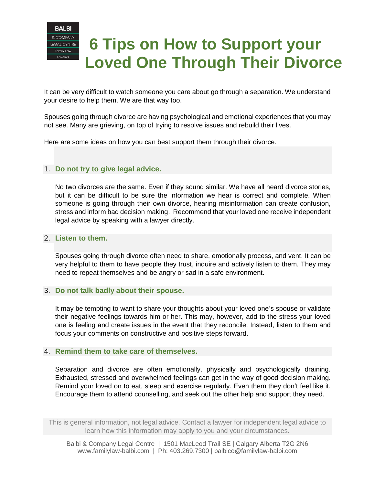

## **6 Tips on How to Support your Loved One Through Their Divorce**

It can be very difficult to watch someone you care about go through a separation. We understand your desire to help them. We are that way too.

Spouses going through divorce are having psychological and emotional experiences that you may not see. Many are grieving, on top of trying to resolve issues and rebuild their lives.

Here are some ideas on how you can best support them through their divorce.

## 1. **Do not try to give legal advice.**

No two divorces are the same. Even if they sound similar. We have all heard divorce stories, but it can be difficult to be sure the information we hear is correct and complete. When someone is going through their own divorce, hearing misinformation can create confusion, stress and inform bad decision making. Recommend that your loved one receive independent legal advice by speaking with a lawyer directly.

#### 2. **Listen to them.**

Spouses going through divorce often need to share, emotionally process, and vent. It can be very helpful to them to have people they trust, inquire and actively listen to them. They may need to repeat themselves and be angry or sad in a safe environment.

#### 3. **Do not talk badly about their spouse.**

It may be tempting to want to share your thoughts about your loved one's spouse or validate their negative feelings towards him or her. This may, however, add to the stress your loved one is feeling and create issues in the event that they reconcile. Instead, listen to them and focus your comments on constructive and positive steps forward.

#### 4. **Remind them to take care of themselves.**

Separation and divorce are often emotionally, physically and psychologically draining. Exhausted, stressed and overwhelmed feelings can get in the way of good decision making. Remind your loved on to eat, sleep and exercise regularly. Even them they don't feel like it. Encourage them to attend counselling, and seek out the other help and support they need.

This is general information, not legal advice. Contact a lawyer for independent legal advice to learn how this information may apply to you and your circumstances.

Balbi & Company Legal Centre | 1501 MacLeod Trail SE | Calgary Alberta T2G 2N6 [www.familylaw-balbi.com](http://www.familylaw-balbi.com/) | Ph: 403.269.7300 | balbico@familylaw-balbi.com